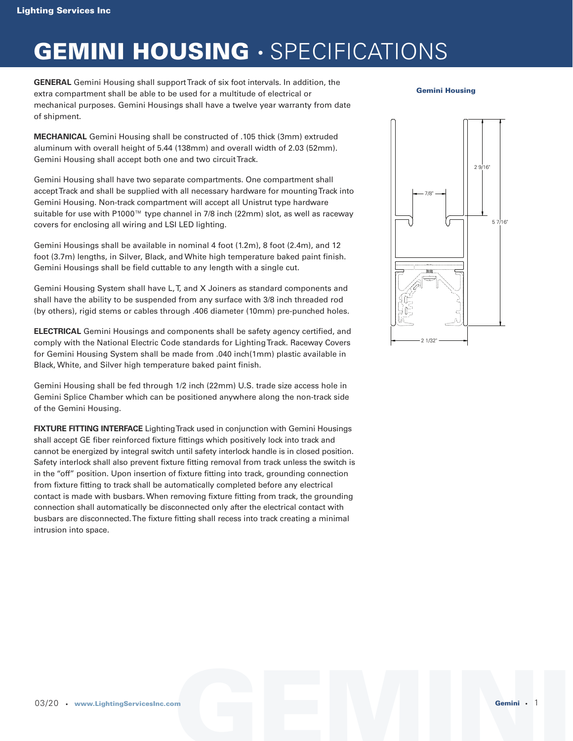### **GEMINI HOUSING** • SPECIFICATIONS

**GENERAL** Gemini Housing shall support Track of six foot intervals. In addition, the extra compartment shall be able to be used for a multitude of electrical or mechanical purposes. Gemini Housings shall have a twelve year warranty from date of shipment.

**MECHANICAL** Gemini Housing shall be constructed of .105 thick (3mm) extruded aluminum with overall height of 5.44 (138mm) and overall width of 2.03 (52mm). Gemini Housing shall accept both one and two circuit Track.

Gemini Housing shall have two separate compartments. One compartment shall accept Track and shall be supplied with all necessary hardware for mounting Track into Gemini Housing. Non-track compartment will accept all Unistrut type hardware suitable for use with P1000™ type channel in 7/8 inch (22mm) slot, as well as raceway covers for enclosing all wiring and LSI LED lighting.

Gemini Housings shall be available in nominal 4 foot (1.2m), 8 foot (2.4m), and 12 foot (3.7m) lengths, in Silver, Black, and White high temperature baked paint finish. Gemini Housings shall be field cuttable to any length with a single cut.

Gemini Housing System shall have L, T, and X Joiners as standard components and shall have the ability to be suspended from any surface with 3/8 inch threaded rod (by others), rigid stems or cables through .406 diameter (10mm) pre-punched holes.

**ELECTRICAL** Gemini Housings and components shall be safety agency certified, and comply with the National Electric Code standards for Lighting Track. Raceway Covers for Gemini Housing System shall be made from .040 inch(1mm) plastic available in Black, White, and Silver high temperature baked paint finish.

Gemini Housing shall be fed through 1/2 inch (22mm) U.S. trade size access hole in Gemini Splice Chamber which can be positioned anywhere along the non-track side of the Gemini Housing.

**FIXTURE FITTING INTERFACE** Lighting Track used in conjunction with Gemini Housings shall accept GE fiber reinforced fixture fittings which positively lock into track and cannot be energized by integral switch until safety interlock handle is in closed position. Safety interlock shall also prevent fixture fitting removal from track unless the switch is in the "off" position. Upon insertion of fixture fitting into track, grounding connection from fixture fitting to track shall be automatically completed before any electrical contact is made with busbars. When removing fixture fitting from track, the grounding connection shall automatically be disconnected only after the electrical contact with busbars are disconnected. The fixture fitting shall recess into track creating a minimal intrusion into space.

**Gemini Housing**

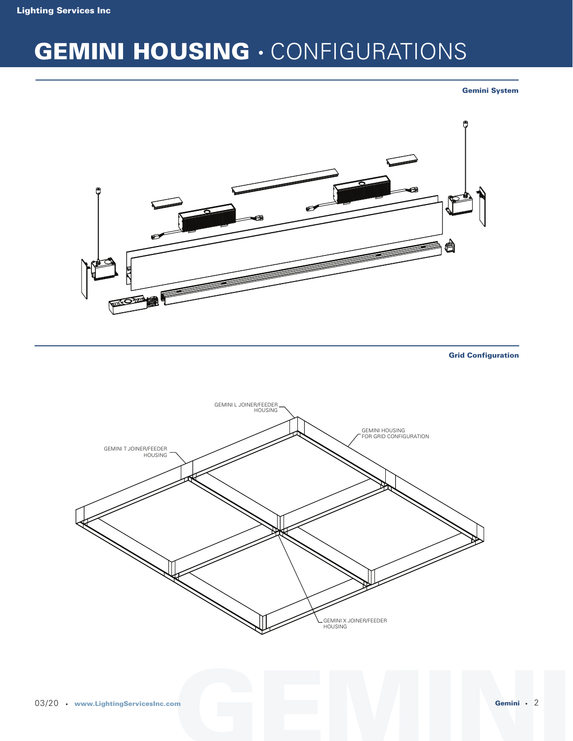# **GEMINI HOUSING** • CONFIGURATIONS

**Gemini System**



**Grid Configuration**

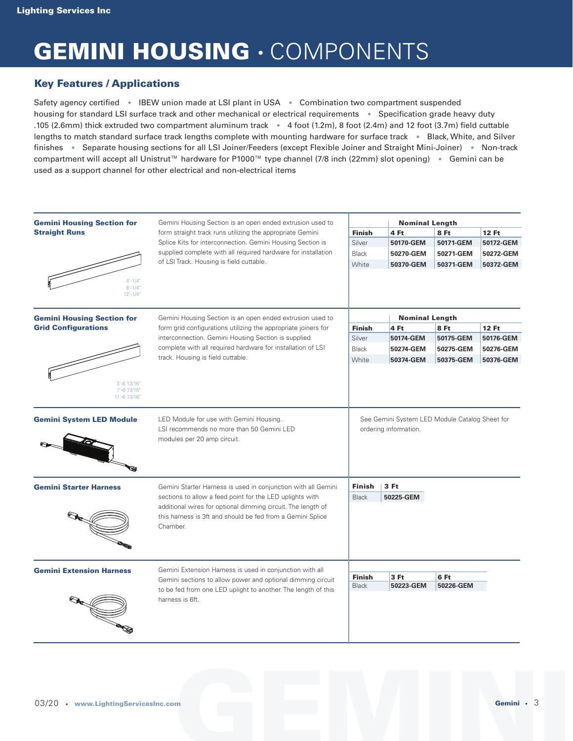### **GEMINI HOUSING** • COMPONENTS

### **Key Features / Applications**

Safety agency certified • IBEW union made at LSI plant in USA • Combination two compartment suspended housing for standard LSI surface track and other mechanical or electrical requirements • Specification grade heavy duty .105 (2.6mm) thick extruded two compartment aluminum track • 4 foot (1.2m), 8 foot (2.4m) and 12 foot (3.7m) field cuttable lengths to match standard surface track lengths complete with mounting hardware for surface track • Black, White, and Silver finishes • Separate housing sections for all LSI Joiner/Feeders (except Flexible Joiner and Straight Mini-Joiner) • Non-track compartment will accept all Unistrut™ hardware for P1000™ type channel (7/8 inch (22mm) slot opening) • Gemini can be used as a support channel for other electrical and non-electrical items

| <b>Gemini Housing Section for</b><br><b>Straight Runs</b> | Gemini Housing Section is an open ended extrusion used to<br>form straight track runs utilizing the appropriate Gemini<br>Splice Kits for interconnection. Gemini Housing Section is                                                                                | <b>Nominal Length</b>         |                                                                         |                   |              |  |
|-----------------------------------------------------------|---------------------------------------------------------------------------------------------------------------------------------------------------------------------------------------------------------------------------------------------------------------------|-------------------------------|-------------------------------------------------------------------------|-------------------|--------------|--|
|                                                           |                                                                                                                                                                                                                                                                     | <b>Finish</b>                 | 4 Ft                                                                    | 8 Ft              | 12 Ft        |  |
|                                                           |                                                                                                                                                                                                                                                                     | Silver                        | 50170-GEM                                                               | 50171-GEM         | 50172-GEM    |  |
|                                                           | supplied complete with all required hardware for installation                                                                                                                                                                                                       | <b>Black</b>                  | 50270-GEM                                                               | 50271-GEM         | 50272-GEM    |  |
|                                                           | of LSI Track. Housing is field cuttable.                                                                                                                                                                                                                            | White                         | 50370-GEM                                                               | 50371-GEM         | 50372-GEM    |  |
| $4'-1/4"$<br>$8' - 1/4"$<br>$12'-1/4"$                    |                                                                                                                                                                                                                                                                     |                               |                                                                         |                   |              |  |
| <b>Gemini Housing Section for</b>                         | Gemini Housing Section is an open ended extrusion used to                                                                                                                                                                                                           |                               | <b>Nominal Length</b>                                                   |                   |              |  |
| <b>Grid Configurations</b>                                | form grid configurations utilizing the appropriate joiners for<br>interconnection. Gemini Housing Section is supplied<br>complete with all required hardware for installation of LSI                                                                                | <b>Finish</b>                 | 4 Ft                                                                    | 8 Ft              | <b>12 Ft</b> |  |
|                                                           |                                                                                                                                                                                                                                                                     | Silver                        | 50174-GEM                                                               | 50175-GEM         | 50176-GEM    |  |
|                                                           |                                                                                                                                                                                                                                                                     | <b>Black</b>                  | 50274-GEM                                                               | 50275-GEM         | 50276-GEM    |  |
|                                                           | track. Housing is field cuttable.                                                                                                                                                                                                                                   | White                         | 50374-GEM                                                               | 50375-GEM         | 50376-GEM    |  |
| 3'-6 13/16"<br>7'-6 13/16"<br>11'-6 13/16"                |                                                                                                                                                                                                                                                                     |                               |                                                                         |                   |              |  |
| <b>Gemini System LED Module</b><br>Ga                     | LED Module for use with Gemini Housing.<br>LSI recommends no more than 50 Gemini LED<br>modules per 20 amp circuit.                                                                                                                                                 |                               | See Gemini System LED Module Catalog Sheet for<br>ordering information. |                   |              |  |
| <b>Gemini Starter Harness</b>                             | Gemini Starter Harness is used in conjunction with all Gemini<br>sections to allow a feed point for the LED uplights with<br>additional wires for optional dimming circuit. The length of<br>this harness is 3ft and should be fed from a Gemini Splice<br>Chamber. | Finish<br><b>Black</b>        | 3 Ft<br>50225-GEM                                                       |                   |              |  |
| <b>Gemini Extension Harness</b>                           | Gemini Extension Harness is used in conjunction with all<br>Gemini sections to allow power and optional dimming circuit<br>to be fed from one LED uplight to another. The length of this<br>harness is 6ft.                                                         | <b>Finish</b><br><b>Black</b> | 3 Ft<br>50223-GEM                                                       | 6 Ft<br>50226-GEM |              |  |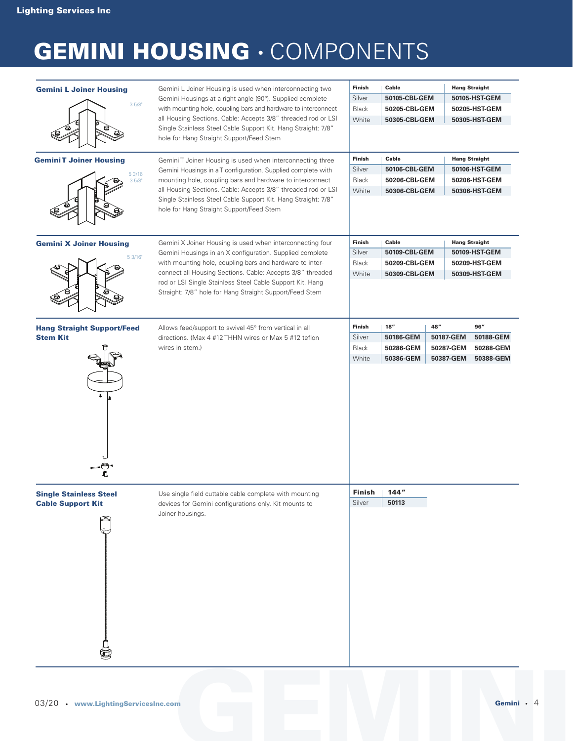# **GEMINI HOUSING** • COMPONENTS

| <b>Gemini L Joiner Housing</b>                            | Gemini L Joiner Housing is used when interconnecting two                                                                                                                          | Finish                  | Cable          |           | <b>Hang Straight</b> |  |
|-----------------------------------------------------------|-----------------------------------------------------------------------------------------------------------------------------------------------------------------------------------|-------------------------|----------------|-----------|----------------------|--|
|                                                           | Gemini Housings at a right angle (90°). Supplied complete                                                                                                                         | 50105-CBL-GEM<br>Silver |                |           | 50105-HST-GEM        |  |
| 35/8"                                                     | with mounting hole, coupling bars and hardware to interconnect                                                                                                                    | <b>Black</b>            | 50205-CBL-GEM  |           | 50205-HST-GEM        |  |
|                                                           | all Housing Sections. Cable: Accepts 3/8" threaded rod or LSI                                                                                                                     | White                   | 50305-CBL-GEM  |           | 50305-HST-GEM        |  |
|                                                           | Single Stainless Steel Cable Support Kit. Hang Straight: 7/8"<br>hole for Hang Straight Support/Feed Stem                                                                         |                         |                |           |                      |  |
|                                                           |                                                                                                                                                                                   | Finish                  | Cable          |           | <b>Hang Straight</b> |  |
| <b>GeminiT Joiner Housing</b>                             | Gemini T Joiner Housing is used when interconnecting three                                                                                                                        | Silver                  | 50106-CBL-GEM  |           | 50106-HST-GEM        |  |
| 5 3/16<br>35/8                                            | Gemini Housings in a T configuration. Supplied complete with<br>mounting hole, coupling bars and hardware to interconnect                                                         | <b>Black</b>            | 50206-CBL-GEM  |           | 50206-HST-GEM        |  |
|                                                           | all Housing Sections. Cable: Accepts 3/8" threaded rod or LSI<br>Single Stainless Steel Cable Support Kit. Hang Straight: 7/8"<br>hole for Hang Straight Support/Feed Stem        | White                   | 50306-CBL-GEM  |           | 50306-HST-GEM        |  |
|                                                           |                                                                                                                                                                                   |                         |                |           |                      |  |
| <b>Gemini X Joiner Housing</b>                            | Gemini X Joiner Housing is used when interconnecting four<br>Gemini Housings in an X configuration. Supplied complete<br>with mounting hole, coupling bars and hardware to inter- | Finish<br>Cable         |                |           | <b>Hang Straight</b> |  |
|                                                           |                                                                                                                                                                                   | Silver                  | 50109-CBL-GEM  |           | 50109-HST-GEM        |  |
| 5 3/16"                                                   |                                                                                                                                                                                   | <b>Black</b>            | 50209-CBL-GEM  |           | 50209-HST-GEM        |  |
|                                                           | connect all Housing Sections. Cable: Accepts 3/8" threaded                                                                                                                        | White                   | 50309-CBL-GEM  |           | 50309-HST-GEM        |  |
|                                                           | rod or LSI Single Stainless Steel Cable Support Kit. Hang<br>Straight: 7/8" hole for Hang Straight Support/Feed Stem                                                              |                         |                |           |                      |  |
| <b>Hang Straight Support/Feed</b>                         | Allows feed/support to swivel 45° from vertical in all                                                                                                                            | Finish                  | $18''$         | 48"       | 96''                 |  |
| <b>Stem Kit</b>                                           | directions. (Max 4 #12 THHN wires or Max 5 #12 teflon                                                                                                                             | Silver                  | 50186-GEM      | 50187-GEM | 50188-GEM            |  |
|                                                           | wires in stem.)                                                                                                                                                                   | <b>Black</b>            | 50286-GEM      | 50287-GEM | 50288-GEM            |  |
|                                                           |                                                                                                                                                                                   | White                   | 50386-GEM      | 50387-GEM | 50388-GEM            |  |
| <b>Single Stainless Steel</b><br><b>Cable Support Kit</b> | Use single field cuttable cable complete with mounting<br>devices for Gemini configurations only. Kit mounts to<br>Joiner housings.                                               | Finish<br>Silver        | 144''<br>50113 |           |                      |  |
|                                                           |                                                                                                                                                                                   |                         |                |           |                      |  |
|                                                           |                                                                                                                                                                                   |                         |                |           |                      |  |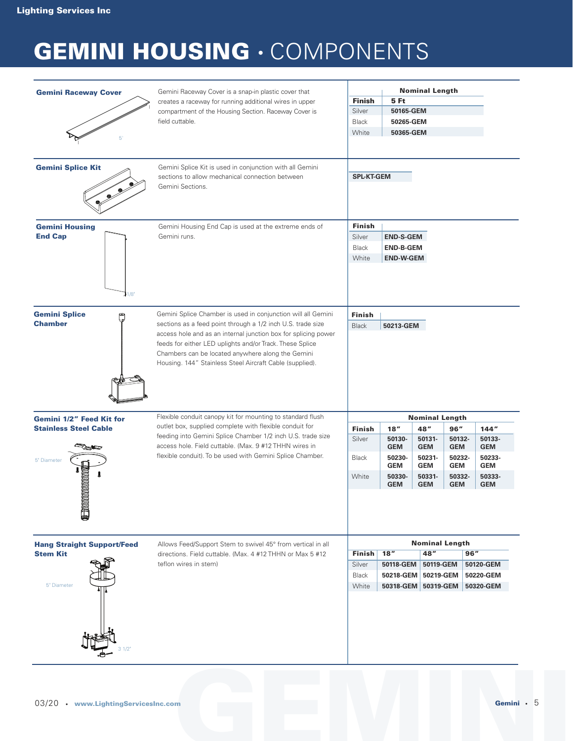# **GEMINI HOUSING** • COMPONENTS

| <b>Gemini Raceway Cover</b><br>5'                                     | Gemini Raceway Cover is a snap-in plastic cover that<br>creates a raceway for running additional wires in upper<br>compartment of the Housing Section. Raceway Cover is<br>field cuttable.                                                                                                                                                                                 | <b>Nominal Length</b><br><b>Finish</b><br>5 Ft<br>Silver<br>50165-GEM<br>Black<br>50265-GEM<br>White<br>50365-GEM                       |                                                            |                                                            |                                                            |                                                            |
|-----------------------------------------------------------------------|----------------------------------------------------------------------------------------------------------------------------------------------------------------------------------------------------------------------------------------------------------------------------------------------------------------------------------------------------------------------------|-----------------------------------------------------------------------------------------------------------------------------------------|------------------------------------------------------------|------------------------------------------------------------|------------------------------------------------------------|------------------------------------------------------------|
| <b>Gemini Splice Kit</b>                                              | Gemini Splice Kit is used in conjunction with all Gemini<br>sections to allow mechanical connection between<br>Gemini Sections.                                                                                                                                                                                                                                            | <b>SPL-KT-GEM</b>                                                                                                                       |                                                            |                                                            |                                                            |                                                            |
| <b>Gemini Housing</b><br><b>End Cap</b><br>11/8                       | Gemini Housing End Cap is used at the extreme ends of<br>Gemini runs.                                                                                                                                                                                                                                                                                                      | Finish<br>Silver<br><b>END-S-GEM</b><br><b>Black</b><br><b>END-B-GEM</b><br>White<br><b>END-W-GEM</b>                                   |                                                            |                                                            |                                                            |                                                            |
| <b>Gemini Splice</b><br>٦<br><b>Chamber</b>                           | Gemini Splice Chamber is used in conjunction will all Gemini<br>sections as a feed point through a 1/2 inch U.S. trade size<br>access hole and as an internal junction box for splicing power<br>feeds for either LED uplights and/or Track. These Splice<br>Chambers can be located anywhere along the Gemini<br>Housing. 144" Stainless Steel Aircraft Cable (supplied). | Finish<br>50213-GEM<br><b>Black</b>                                                                                                     |                                                            |                                                            |                                                            |                                                            |
| Gemini 1/2" Feed Kit for                                              | Flexible conduit canopy kit for mounting to standard flush<br>outlet box, supplied complete with flexible conduit for<br>feeding into Gemini Splice Chamber 1/2 inch U.S. trade size                                                                                                                                                                                       | <b>Nominal Length</b>                                                                                                                   |                                                            |                                                            |                                                            |                                                            |
| <b>Stainless Steel Cable</b>                                          |                                                                                                                                                                                                                                                                                                                                                                            | <b>Finish</b><br>Silver                                                                                                                 | 18"<br>50130-                                              | 48"<br>50131-                                              | 96"<br>50132-                                              | 144"<br>50133-                                             |
| 5" Diameter<br>monomo                                                 | access hole. Field cuttable. (Max. 9 #12 THHN wires in<br>flexible conduit). To be used with Gemini Splice Chamber.                                                                                                                                                                                                                                                        | <b>Black</b><br>White                                                                                                                   | <b>GEM</b><br>50230-<br><b>GEM</b><br>50330-<br><b>GEM</b> | <b>GEM</b><br>50231-<br><b>GEM</b><br>50331-<br><b>GEM</b> | <b>GEM</b><br>50232-<br><b>GEM</b><br>50332-<br><b>GEM</b> | <b>GEM</b><br>50233-<br><b>GEM</b><br>50333-<br><b>GEM</b> |
| <b>OLLAND</b><br><b>Hang Straight Support/Feed</b><br><b>Stem Kit</b> | Allows Feed/Support Stem to swivel 45° from vertical in all<br>directions. Field cuttable. (Max. 4 #12 THHN or Max 5 #12                                                                                                                                                                                                                                                   | <b>Nominal Length</b><br>48''<br>18''<br>96"<br><b>Finish</b>                                                                           |                                                            |                                                            |                                                            |                                                            |
| 5" Diameter                                                           | teflon wires in stem)                                                                                                                                                                                                                                                                                                                                                      | 50118-GEM<br>50120-GEM<br>Silver<br>50119-GEM<br>50218-GEM 50219-GEM<br>50220-GEM<br>Black<br>White<br>50318-GEM 50319-GEM<br>50320-GEM |                                                            |                                                            |                                                            |                                                            |
|                                                                       |                                                                                                                                                                                                                                                                                                                                                                            |                                                                                                                                         |                                                            |                                                            |                                                            |                                                            |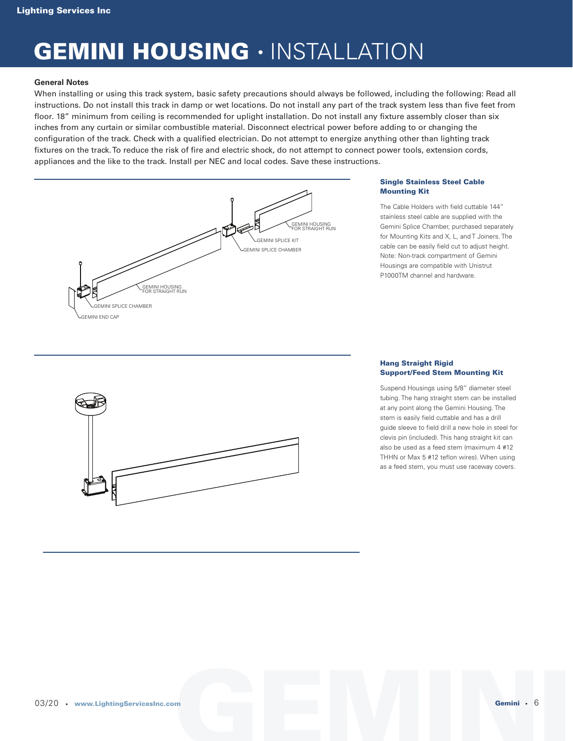### **GEMINI HOUSING** • INSTALLATION

#### **General Notes**

When installing or using this track system, basic safety precautions should always be followed, including the following: Read all instructions. Do not install this track in damp or wet locations. Do not install any part of the track system less than five feet from floor. 18" minimum from ceiling is recommended for uplight installation. Do not install any fixture assembly closer than six inches from any curtain or similar combustible material. Disconnect electrical power before adding to or changing the configuration of the track. Check with a qualified electrician. Do not attempt to energize anything other than lighting track fixtures on the track. To reduce the risk of fire and electric shock, do not attempt to connect power tools, extension cords, appliances and the like to the track. Install per NEC and local codes. Save these instructions.



#### **Single Stainless Steel Cable Mounting Kit**

The Cable Holders with field cuttable 144" stainless steel cable are supplied with the Gemini Splice Chamber, purchased separately for Mounting Kits and X, L, and T Joiners. The cable can be easily field cut to adjust height. Note: Non-track compartment of Gemini Housings are compatible with Unistrut P1000TM channel and hardware.



#### **Hang Straight Rigid Support/Feed Stem Mounting Kit**

Suspend Housings using 5/8" diameter steel tubing. The hang straight stem can be installed at any point along the Gemini Housing. The stem is easily field cuttable and has a drill guide sleeve to field drill a new hole in steel for clevis pin (included). This hang straight kit can also be used as a feed stem (maximum 4 #12 THHN or Max 5 #12 teflon wires). When using as a feed stem, you must use raceway covers.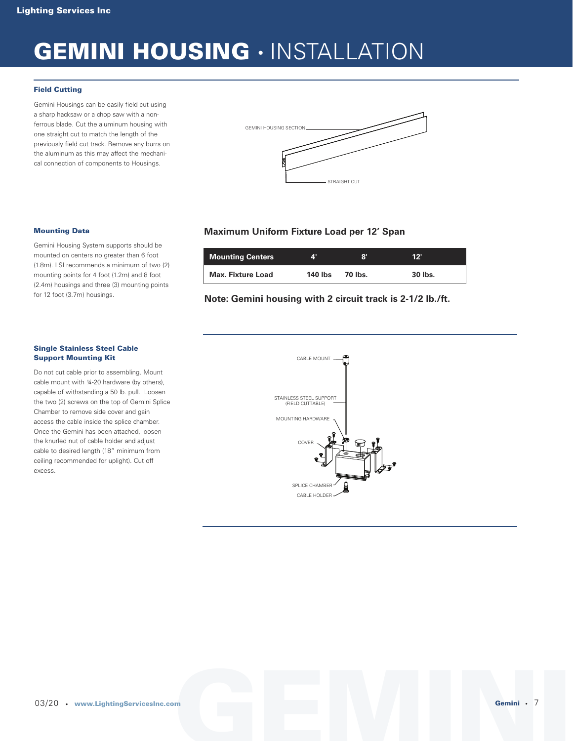### **GEMINI HOUSING** • INSTALLATION

#### **Field Cutting**

Gemini Housings can be easily field cut using a sharp hacksaw or a chop saw with a nonferrous blade. Cut the aluminum housing with one straight cut to match the length of the previously field cut track. Remove any burrs on the aluminum as this may affect the mechanical connection of components to Housings.



#### **Mounting Data**

Gemini Housing System supports should be mounted on centers no greater than 6 foot (1.8m). LSI recommends a minimum of two (2) mounting points for 4 foot (1.2m) and 8 foot (2.4m) housings and three (3) mounting points for 12 foot (3.7m) housings.

#### **Single Stainless Steel Cable Support Mounting Kit**

Do not cut cable prior to assembling. Mount cable mount with ¼-20 hardware (by others), capable of withstanding a 50 lb. pull. Loosen the two (2) screws on the top of Gemini Splice Chamber to remove side cover and gain access the cable inside the splice chamber. Once the Gemini has been attached, loosen the knurled nut of cable holder and adjust cable to desired length (18" minimum from ceiling recommended for uplight). Cut off excess.

### **Maximum Uniform Fixture Load per 12' Span**

| Mounting Centers         | zψ      | 8'      | 12"     |
|--------------------------|---------|---------|---------|
| <b>Max. Fixture Load</b> | 140 lbs | 70 lbs. | 30 lbs. |

#### **Note: Gemini housing with 2 circuit track is 2-1/2 lb./ft.**